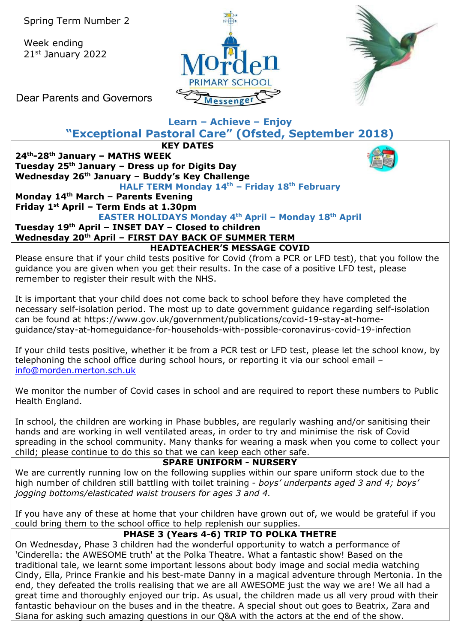Week ending 21st January 2022





Dear Parents and Governors

# **Learn – Achieve – Enjoy**

**"Exceptional Pastoral Care" (Ofsted, September 2018)**

**KEY DATES 24th-28th January – MATHS WEEK Tuesday 25th January – Dress up for Digits Day Wednesday 26th January – Buddy's Key Challenge HALF TERM Monday 14th – Friday 18th February**

#### **Monday 14th March – Parents Evening Friday 1st April – Term Ends at 1.30pm**

## **EASTER HOLIDAYS Monday 4th April – Monday 18th April**

#### **Tuesday 19th April – INSET DAY – Closed to children Wednesday 20th April – FIRST DAY BACK OF SUMMER TERM HEADTEACHER'S MESSAGE COVID**

Please ensure that if your child tests positive for Covid (from a PCR or LFD test), that you follow the guidance you are given when you get their results. In the case of a positive LFD test, please remember to register their result with the NHS.

It is important that your child does not come back to school before they have completed the necessary self-isolation period. The most up to date government guidance regarding self-isolation can be found at https://www.gov.uk/government/publications/covid-19-stay-at-homeguidance/stay-at-homeguidance-for-households-with-possible-coronavirus-covid-19-infection

If your child tests positive, whether it be from a PCR test or LFD test, please let the school know, by telephoning the school office during school hours, or reporting it via our school email – [info@morden.merton.sch.uk](mailto:info@morden.merton.sch.uk)

We monitor the number of Covid cases in school and are required to report these numbers to Public Health England.

In school, the children are working in Phase bubbles, are regularly washing and/or sanitising their hands and are working in well ventilated areas, in order to try and minimise the risk of Covid spreading in the school community. Many thanks for wearing a mask when you come to collect your child; please continue to do this so that we can keep each other safe.

### **SPARE UNIFORM - NURSERY**

We are currently running low on the following supplies within our spare uniform stock due to the high number of children still battling with toilet training - *boys' underpants aged 3 and 4; boys' jogging bottoms/elasticated waist trousers for ages 3 and 4.*

If you have any of these at home that your children have grown out of, we would be grateful if you could bring them to the school office to help replenish our supplies.

### **PHASE 3 (Years 4-6) TRIP TO POLKA THETRE**

On Wednesday, Phase 3 children had the wonderful opportunity to watch a performance of 'Cinderella: the AWESOME truth' at the Polka Theatre. What a fantastic show! Based on the traditional tale, we learnt some important lessons about body image and social media watching Cindy, Ella, Prince Frankie and his best-mate Danny in a magical adventure through Mertonia. In the end, they defeated the trolls realising that we are all AWESOME just the way we are! We all had a great time and thoroughly enjoyed our trip. As usual, the children made us all very proud with their fantastic behaviour on the buses and in the theatre. A special shout out goes to Beatrix, Zara and Siana for asking such amazing questions in our Q&A with the actors at the end of the show.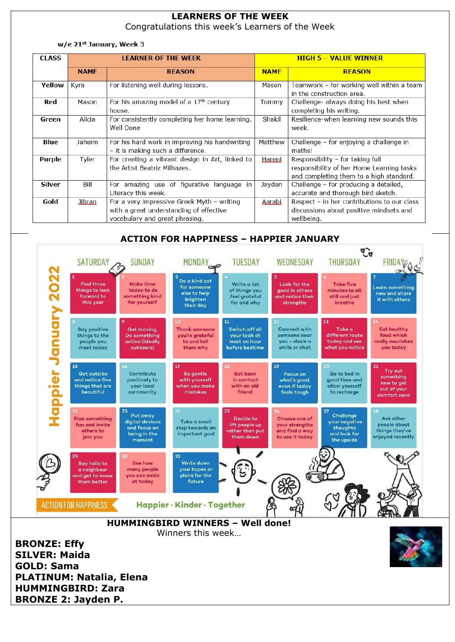# **LEARNERS OF THE WEEK**

Congratulations this week's Learners of the Week

#### w/e 21st January, Week 3

| <b>CLASS</b>  | <b>LEARNER OF THE WEEK</b> |                                                                                                                         | <b>HIGH 5 - VALUE WINNER</b> |                                                                                                                          |
|---------------|----------------------------|-------------------------------------------------------------------------------------------------------------------------|------------------------------|--------------------------------------------------------------------------------------------------------------------------|
|               | <b>NAMF</b>                | <b>REASON</b>                                                                                                           | <b>NAMF</b>                  | <b>REASON</b>                                                                                                            |
| Yellow        | Kyra                       | For listening well during lessons.                                                                                      | Mason                        | Teamwork - for working well within a team<br>in the construction area.                                                   |
| Red           | Mason                      | For his amazing model of a 17 <sup>th</sup> century<br>house.                                                           | Tommy                        | Challenge- always doing his best when<br>completing his writing.                                                         |
| Green         | Alicia                     | For consistently completing her home learning.<br>Well Done                                                             | Shakil                       | Resilience-when learning new sounds this<br>week.                                                                        |
| Blue          | Jaheim                     | For his hard work in improving his handwriting<br>- it is making such a difference.                                     | Matthew                      | Challenge - for enjoying a challenge in<br>maths!                                                                        |
| Purple        | Tyler                      | For creating a vibrant design in Art, linked to<br>the Artist Beatriz Milhazes.                                         | Hareni                       | Responsibility - for taking full<br>responsibility of her Home Learning tasks<br>and completing them to a high standard. |
| <b>Silver</b> | Bill                       | For amazing use of figurative language<br>in<br>Literacy this week.                                                     | Jayden                       | Challenge - for producing a detailed,<br>accurate and thorough bird sketch.                                              |
| Gold          | libran                     | For a very impressive Greek Myth - writing<br>with a great understanding of effective<br>vocabulary and great phrasing. | <b>Aarabi</b>                | Respect - in her contributions to our class<br>discussions about positive mindsets and<br>wellbeing.                     |

#### **ACTION FOR HAPPINESS – HAPPIER JANUARY**